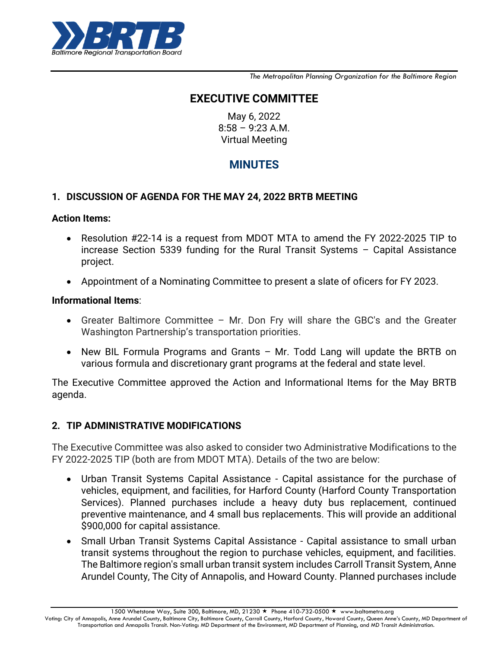

*The Metropolitan Planning Organization for the Baltimore Region*

# **EXECUTIVE COMMITTEE**

May 6, 2022 8:58 – 9:23 A.M. Virtual Meeting

# **MINUTES**

#### **1. DISCUSSION OF AGENDA FOR THE MAY 24, 2022 BRTB MEETING**

#### **Action Items:**

- Resolution #22-14 is a request from MDOT MTA to amend the FY 2022-2025 TIP to increase Section 5339 funding for the Rural Transit Systems – Capital Assistance project.
- Appointment of a Nominating Committee to present a slate of oficers for FY 2023.

#### **Informational Items**:

- Greater Baltimore Committee Mr. Don Fry will share the GBC's and the Greater Washington Partnership's transportation priorities.
- New BIL Formula Programs and Grants Mr. Todd Lang will update the BRTB on various formula and discretionary grant programs at the federal and state level.

The Executive Committee approved the Action and Informational Items for the May BRTB agenda.

## **2. TIP ADMINISTRATIVE MODIFICATIONS**

The Executive Committee was also asked to consider two Administrative Modifications to the FY 2022-2025 TIP (both are from MDOT MTA). Details of the two are below:

- Urban Transit Systems Capital Assistance Capital assistance for the purchase of vehicles, equipment, and facilities, for Harford County (Harford County Transportation Services). Planned purchases include a heavy duty bus replacement, continued preventive maintenance, and 4 small bus replacements. This will provide an additional \$900,000 for capital assistance.
- Small Urban Transit Systems Capital Assistance Capital assistance to small urban transit systems throughout the region to purchase vehicles, equipment, and facilities. The Baltimore region's small urban transit system includes Carroll Transit System, Anne Arundel County, The City of Annapolis, and Howard County. Planned purchases include

1500 Whetstone Way, Suite 300, Baltimore, MD, 21230 ★ Phone 410-732-0500 ★ www.baltometro.org

Voting: City of Annapolis, Anne Arundel County, Baltimore City, Baltimore County, Carroll County, Harford County, Howard County, Queen Anne's County, MD Department of Transportation and Annapolis Transit. Non-Voting: MD Department of the Environment, MD Department of Planning, and MD Transit Administration.